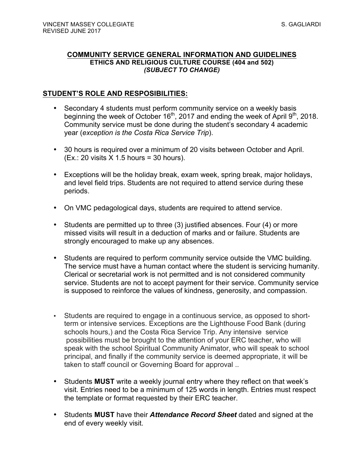#### **COMMUNITY SERVICE GENERAL INFORMATION AND GUIDELINES ETHICS AND RELIGIOUS CULTURE COURSE (404 and 502)** *(SUBJECT TO CHANGE)*

### **STUDENT'S ROLE AND RESPOSIBILITIES:**

- Secondary 4 students must perform community service on a weekly basis beginning the week of October 16<sup>th</sup>, 2017 and ending the week of April 9<sup>th</sup>, 2018. Community service must be done during the student's secondary 4 academic year (*exception is the Costa Rica Service Trip*).
- 30 hours is required over a minimum of 20 visits between October and April.  $(Ex.: 20$  visits  $X$  1.5 hours = 30 hours).
- Exceptions will be the holiday break, exam week, spring break, major holidays, and level field trips. Students are not required to attend service during these periods.
- On VMC pedagological days, students are required to attend service.
- Students are permitted up to three (3) justified absences. Four (4) or more missed visits will result in a deduction of marks and or failure. Students are strongly encouraged to make up any absences.
- Students are required to perform community service outside the VMC building. The service must have a human contact where the student is servicing humanity. Clerical or secretarial work is not permitted and is not considered community service. Students are not to accept payment for their service. Community service is supposed to reinforce the values of kindness, generosity, and compassion.
- Students are required to engage in a continuous service, as opposed to shortterm or intensive services. Exceptions are the Lighthouse Food Bank (during schools hours,) and the Costa Rica Service Trip. Any intensive service possibilities must be brought to the attention of your ERC teacher, who will speak with the school Spiritual Community Animator, who will speak to school principal, and finally if the community service is deemed appropriate, it will be taken to staff council or Governing Board for approval ..
- Students **MUST** write a weekly journal entry where they reflect on that week's visit. Entries need to be a minimum of 125 words in length. Entries must respect the template or format requested by their ERC teacher.
- Students **MUST** have their *Attendance Record Sheet* dated and signed at the end of every weekly visit.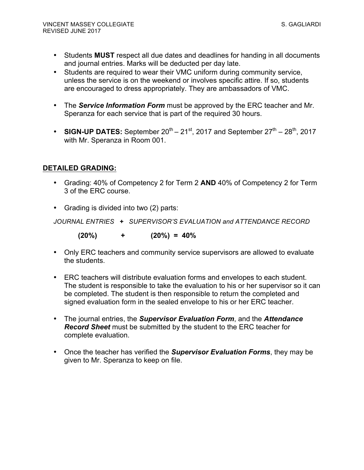- Students **MUST** respect all due dates and deadlines for handing in all documents and journal entries. Marks will be deducted per day late.
- Students are required to wear their VMC uniform during community service, unless the service is on the weekend or involves specific attire. If so, students are encouraged to dress appropriately. They are ambassadors of VMC.
- The *Service Information Form* must be approved by the ERC teacher and Mr. Speranza for each service that is part of the required 30 hours.
- **SIGN-UP DATES:** September  $20^{th} 21^{st}$ , 2017 and September  $27^{th} 28^{th}$ , 2017 with Mr. Speranza in Room 001.

## **DETAILED GRADING:**

- Grading: 40% of Competency 2 for Term 2 **AND** 40% of Competency 2 for Term 3 of the ERC course.
- Grading is divided into two (2) parts:

*JOURNAL ENTRIES + SUPERVISOR'S EVALUATION and ATTENDANCE RECORD*

 **(20%) + (20%) = 40%**

- Only ERC teachers and community service supervisors are allowed to evaluate the students.
- ERC teachers will distribute evaluation forms and envelopes to each student. The student is responsible to take the evaluation to his or her supervisor so it can be completed. The student is then responsible to return the completed and signed evaluation form in the sealed envelope to his or her ERC teacher.
- The journal entries, the *Supervisor Evaluation Form*, and the *Attendance Record Sheet* must be submitted by the student to the ERC teacher for complete evaluation.
- Once the teacher has verified the *Supervisor Evaluation Forms*, they may be given to Mr. Speranza to keep on file.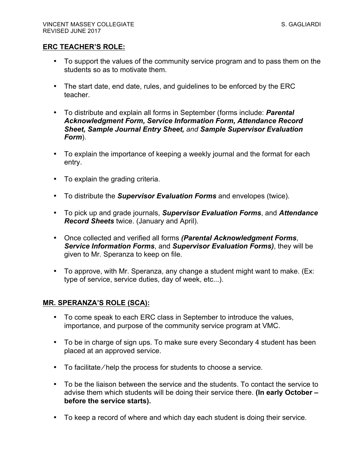#### **ERC TEACHER'S ROLE:**

- To support the values of the community service program and to pass them on the students so as to motivate them.
- The start date, end date, rules, and guidelines to be enforced by the ERC teacher.
- To distribute and explain all forms in September (forms include: *Parental Acknowledgment Form, Service Information Form, Attendance Record Sheet, Sample Journal Entry Sheet, and Sample Supervisor Evaluation Form*).
- To explain the importance of keeping a weekly journal and the format for each entry.
- To explain the grading criteria.
- To distribute the *Supervisor Evaluation Forms* and envelopes (twice).
- To pick up and grade journals, *Supervisor Evaluation Forms*, and *Attendance Record Sheets* twice. (January and April).
- Once collected and verified all forms *(Parental Acknowledgment Forms*, *Service Information Forms*, and *Supervisor Evaluation Forms)*, they will be given to Mr. Speranza to keep on file.
- To approve, with Mr. Speranza, any change a student might want to make. (Ex: type of service, service duties, day of week, etc...).

### **MR. SPERANZA'S ROLE (SCA):**

- To come speak to each ERC class in September to introduce the values, importance, and purpose of the community service program at VMC.
- To be in charge of sign ups. To make sure every Secondary 4 student has been placed at an approved service.
- To facilitate/help the process for students to choose a service.
- To be the liaison between the service and the students. To contact the service to advise them which students will be doing their service there. **(In early October – before the service starts).**
- To keep a record of where and which day each student is doing their service.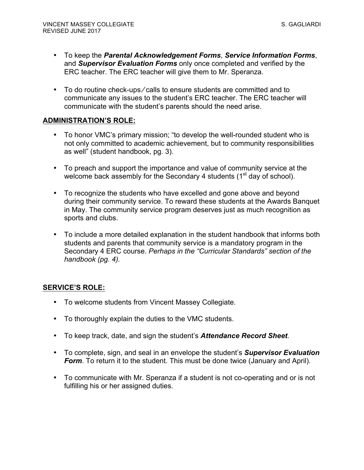- To keep the *Parental Acknowledgement Forms*, *Service Information Forms*, and *Supervisor Evaluation Forms* only once completed and verified by the ERC teacher. The ERC teacher will give them to Mr. Speranza.
- To do routine check-ups/calls to ensure students are committed and to communicate any issues to the student's ERC teacher. The ERC teacher will communicate with the student's parents should the need arise.

## **ADMINISTRATION'S ROLE:**

- To honor VMC's primary mission; "to develop the well-rounded student who is not only committed to academic achievement, but to community responsibilities as well" (student handbook, pg. 3).
- To preach and support the importance and value of community service at the welcome back assembly for the Secondary 4 students  $(1<sup>st</sup>$  day of school).
- To recognize the students who have excelled and gone above and beyond during their community service. To reward these students at the Awards Banquet in May. The community service program deserves just as much recognition as sports and clubs.
- To include a more detailed explanation in the student handbook that informs both students and parents that community service is a mandatory program in the Secondary 4 ERC course. *Perhaps in the "Curricular Standards" section of the handbook (pg. 4).*

# **SERVICE'S ROLE:**

- To welcome students from Vincent Massey Collegiate.
- To thoroughly explain the duties to the VMC students.
- To keep track, date, and sign the student's *Attendance Record Sheet*.
- To complete, sign, and seal in an envelope the student's *Supervisor Evaluation Form*. To return it to the student. This must be done twice (January and April).
- To communicate with Mr. Speranza if a student is not co-operating and or is not fulfilling his or her assigned duties.